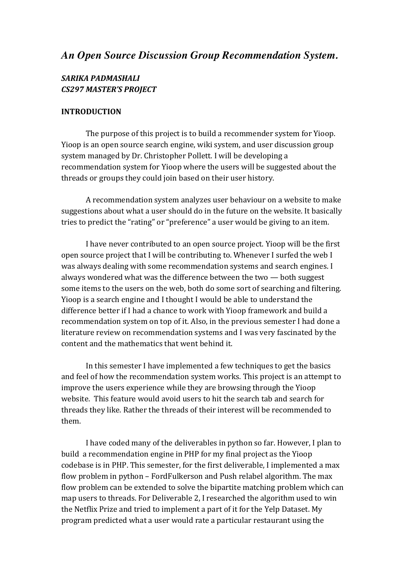# *An Open Source Discussion Group Recommendation System.*

## *SARIKA PADMASHALI CS297 MASTER'S PROJECT*

### **INTRODUCTION**

The purpose of this project is to build a recommender system for Yioop. Yioop is an open source search engine, wiki system, and user discussion group system managed by Dr. Christopher Pollett. I will be developing a recommendation system for Yioop where the users will be suggested about the threads or groups they could join based on their user history.

A recommendation system analyzes user behaviour on a website to make suggestions about what a user should do in the future on the website. It basically tries to predict the "rating" or "preference" a user would be giving to an item.

I have never contributed to an open source project. Yioop will be the first open source project that I will be contributing to. Whenever I surfed the web I was always dealing with some recommendation systems and search engines. I always wondered what was the difference between the two  $-$  both suggest some items to the users on the web, both do some sort of searching and filtering. Yioop is a search engine and I thought I would be able to understand the difference better if I had a chance to work with Yioop framework and build a recommendation system on top of it. Also, in the previous semester I had done a literature review on recommendation systems and I was very fascinated by the content and the mathematics that went behind it.

In this semester I have implemented a few techniques to get the basics and feel of how the recommendation system works. This project is an attempt to improve the users experience while they are browsing through the Yioop website. This feature would avoid users to hit the search tab and search for threads they like. Rather the threads of their interest will be recommended to them.

I have coded many of the deliverables in python so far. However, I plan to build a recommendation engine in PHP for my final project as the Yioop codebase is in PHP. This semester, for the first deliverable, I implemented a max flow problem in python – FordFulkerson and Push relabel algorithm. The max flow problem can be extended to solve the bipartite matching problem which can map users to threads. For Deliverable 2, I researched the algorithm used to win the Netflix Prize and tried to implement a part of it for the Yelp Dataset. My program predicted what a user would rate a particular restaurant using the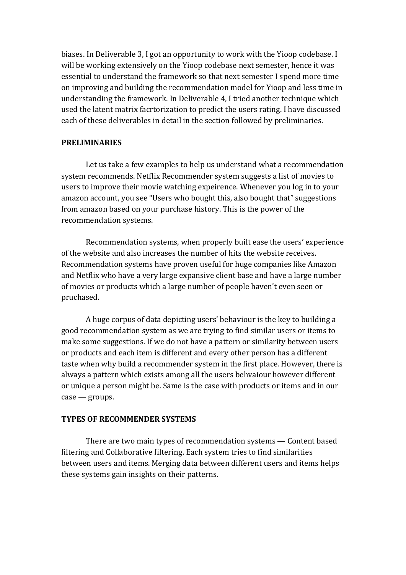biases. In Deliverable 3, I got an opportunity to work with the Yioop codebase. I will be working extensively on the Yioop codebase next semester, hence it was essential to understand the framework so that next semester I spend more time on improving and building the recommendation model for Yioop and less time in understanding the framework. In Deliverable 4, I tried another technique which used the latent matrix facrtorization to predict the users rating. I have discussed each of these deliverables in detail in the section followed by preliminaries.

### **PRELIMINARIES**

Let us take a few examples to help us understand what a recommendation system recommends. Netflix Recommender system suggests a list of movies to users to improve their movie watching expeirence. Whenever you log in to your amazon account, you see "Users who bought this, also bought that" suggestions from amazon based on your purchase history. This is the power of the recommendation systems.

Recommendation systems, when properly built ease the users' experience of the website and also increases the number of hits the website receives. Recommendation systems have proven useful for huge companies like Amazon and Netflix who have a very large expansive client base and have a large number of movies or products which a large number of people haven't even seen or pruchased. 

A huge corpus of data depicting users' behaviour is the key to building a good recommendation system as we are trying to find similar users or items to make some suggestions. If we do not have a pattern or similarity between users or products and each item is different and every other person has a different taste when why build a recommender system in the first place. However, there is always a pattern which exists among all the users behvaiour however different or unique a person might be. Same is the case with products or items and in our  $case - groups.$ 

### **TYPES OF RECOMMENDER SYSTEMS**

There are two main types of recommendation systems  $-$  Content based filtering and Collaborative filtering. Each system tries to find similarities between users and items. Merging data between different users and items helps these systems gain insights on their patterns.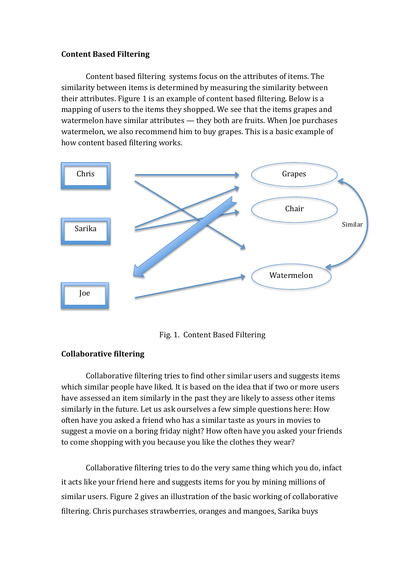## **Content Based Filtering**

Content based filtering systems focus on the attributes of items. The similarity between items is determined by measuring the similarity between their attributes. Figure 1 is an example of content based filtering. Below is a mapping of users to the items they shopped. We see that the items grapes and watermelon have similar attributes  $-$  they both are fruits. When Joe purchases watermelon, we also recommend him to buy grapes. This is a basic example of how content based filtering works.



Fig. 1. Content Based Filtering

## **Collaborative filtering**

Collaborative filtering tries to find other similar users and suggests items which similar people have liked. It is based on the idea that if two or more users have assessed an item similarly in the past they are likely to assess other items similarly in the future. Let us ask ourselves a few simple questions here: How often have you asked a friend who has a similar taste as yours in movies to suggest a movie on a boring friday night? How often have you asked your friends to come shopping with you because you like the clothes they wear?

Collaborative filtering tries to do the very same thing which you do, infact it acts like your friend here and suggests items for you by mining millions of similar users. Figure 2 gives an illustration of the basic working of collaborative filtering. Chris purchases strawberries, oranges and mangoes, Sarika buys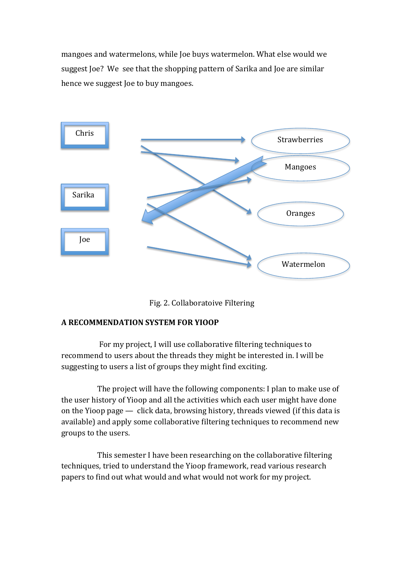mangoes and watermelons, while Joe buys watermelon. What else would we suggest Joe? We see that the shopping pattern of Sarika and Joe are similar hence we suggest Joe to buy mangoes.



Fig. 2. Collaboratoive Filtering

## **A RECOMMENDATION SYSTEM FOR YIOOP**

For my project, I will use collaborative filtering techniques to recommend to users about the threads they might be interested in. I will be suggesting to users a list of groups they might find exciting.

The project will have the following components: I plan to make use of the user history of Yioop and all the activities which each user might have done on the Yioop page  $-$  click data, browsing history, threads viewed (if this data is available) and apply some collaborative filtering techniques to recommend new groups to the users.

This semester I have been researching on the collaborative filtering techniques, tried to understand the Yioop framework, read various research papers to find out what would and what would not work for my project.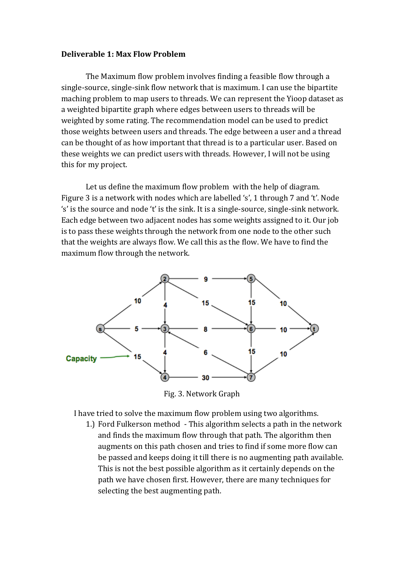### **Deliverable 1: Max Flow Problem**

The Maximum flow problem involves finding a feasible flow through a single-source, single-sink flow network that is maximum. I can use the bipartite maching problem to map users to threads. We can represent the Yioop dataset as a weighted bipartite graph where edges between users to threads will be weighted by some rating. The recommendation model can be used to predict those weights between users and threads. The edge between a user and a thread can be thought of as how important that thread is to a particular user. Based on these weights we can predict users with threads. However, I will not be using this for my project.

Let us define the maximum flow problem with the help of diagram. Figure 3 is a network with nodes which are labelled 's', 1 through 7 and 't'. Node 's' is the source and node 't' is the sink. It is a single-source, single-sink network. Each edge between two adjacent nodes has some weights assigned to it. Our job is to pass these weights through the network from one node to the other such that the weights are always flow. We call this as the flow. We have to find the maximum flow through the network.



 Fig. 3. Network Graph

I have tried to solve the maximum flow problem using two algorithms.

1.) Ford Fulkerson method - This algorithm selects a path in the network and finds the maximum flow through that path. The algorithm then augments on this path chosen and tries to find if some more flow can be passed and keeps doing it till there is no augmenting path available. This is not the best possible algorithm as it certainly depends on the path we have chosen first. However, there are many techniques for selecting the best augmenting path.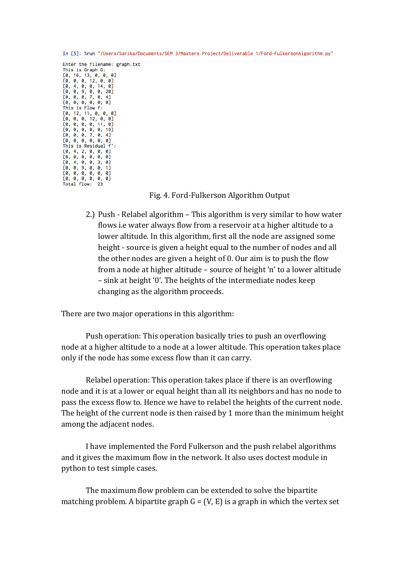In [5]: %run "/Users/Sarika/Documents/SEM 3/Masters Project/Deliverable 1/Ford-FulkersonAlgorithm.py"

Enter the filename: graph.txt This is Graph G: [0, 16, 13, 0, 0, 0]<br>[0, 0, 0, 12, 0, 0]  $[0, 4, 0, 0, 14, 0]$  $[0, 0, 9, 0, 0, 20]$  $[0, 0, 0, 7, 0, 4]$ <br> $[0, 0, 0, 0, 0, 0]$ <br>This is Flow f:  $[0, 12, 11, 0, 0, 0]$  $[0, 0, 0, 12, 0, 0]$  $[0, 0, 0, 0, 11, 0]$  $[0, 0, 0, 0, 0, 19]$ <br> $[0, 0, 0, 7, 0, 4]$ <br> $[0, 0, 0, 0, 0, 0, 0]$ This is Residual f':  $[0, 4, 2, 0, 0, 0]$  $[0, 0, 0, 0, 0, 0]$  $[0, 4, 0, 0, 3, 0]$ <br> $[0, 0, 9, 0, 0, 1]$  $[0, 0, 0, 0, 0, 0]$  $[0, 0, 0, 0, 0, 0]$ Total flow:

#### Fig. 4. Ford-Fulkerson Algorithm Output

2.) Push - Relabel algorithm  $-$  This algorithm is very similar to how water flows i.e water always flow from a reservoir at a higher altitude to a lower altitude. In this algorithm, first all the node are assigned some height - source is given a height equal to the number of nodes and all the other nodes are given a height of  $0.$  Our aim is to push the flow from a node at higher altitude – source of height 'n' to a lower altitude  $-$  sink at height '0'. The heights of the intermediate nodes keep changing as the algorithm proceeds.

There are two major operations in this algorithm:

Push operation: This operation basically tries to push an overflowing node at a higher altitude to a node at a lower altitude. This operation takes place only if the node has some excess flow than it can carry.

Relabel operation: This operation takes place if there is an overflowing node and it is at a lower or equal height than all its neighbors and has no node to pass the excess flow to. Hence we have to relabel the heights of the current node. The height of the current node is then raised by 1 more than the minimum height among the adjacent nodes.

I have implemented the Ford Fulkerson and the push relabel algorithms and it gives the maximum flow in the network. It also uses doctest module in python to test simple cases.

The maximum flow problem can be extended to solve the bipartite matching problem. A bipartite graph  $G = (V, E)$  is a graph in which the vertex set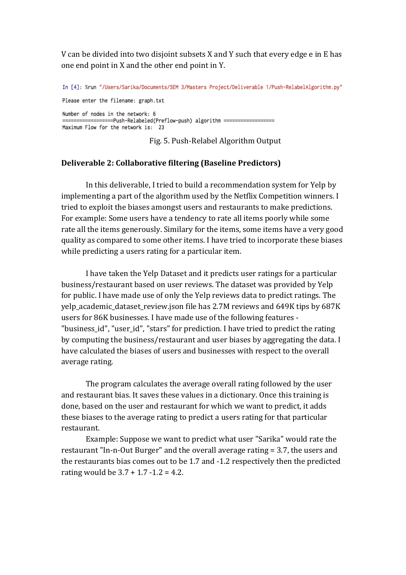V can be divided into two disjoint subsets X and Y such that every edge e in E has one end point in X and the other end point in Y.

In [4]: %run "/Users/Sarika/Documents/SEM 3/Masters Project/Deliverable 1/Push-RelabelAlgorithm.py" Please enter the filename: graph.txt Number of nodes in the network: 6 ==============Push-Relabeled(Preflow-push) algorithm ============== Maximum Flow for the network is: 23

Fig. 5. Push-Relabel Algorithm Output

### **Deliverable 2: Collaborative filtering (Baseline Predictors)**

In this deliverable, I tried to build a recommendation system for Yelp by implementing a part of the algorithm used by the Netflix Competition winners. I tried to exploit the biases amongst users and restaurants to make predictions. For example: Some users have a tendency to rate all items poorly while some rate all the items generously. Similary for the items, some items have a very good quality as compared to some other items. I have tried to incorporate these biases while predicting a users rating for a particular item.

I have taken the Yelp Dataset and it predicts user ratings for a particular business/restaurant based on user reviews. The dataset was provided by Yelp for public. I have made use of only the Yelp reviews data to predict ratings. The yelp\_academic\_dataset\_review.json file has 2.7M reviews and 649K tips by 687K users for 86K businesses. I have made use of the following features -"business\_id", "user\_id", "stars" for prediction. I have tried to predict the rating by computing the business/restaurant and user biases by aggregating the data. I have calculated the biases of users and businesses with respect to the overall average rating.

The program calculates the average overall rating followed by the user and restaurant bias. It saves these values in a dictionary. Once this training is done, based on the user and restaurant for which we want to predict, it adds these biases to the average rating to predict a users rating for that particular restaurant.

Example: Suppose we want to predict what user "Sarika" would rate the restaurant "In-n-Out Burger" and the overall average rating  $= 3.7$ , the users and the restaurants bias comes out to be 1.7 and  $-1.2$  respectively then the predicted rating would be  $3.7 + 1.7 - 1.2 = 4.2$ .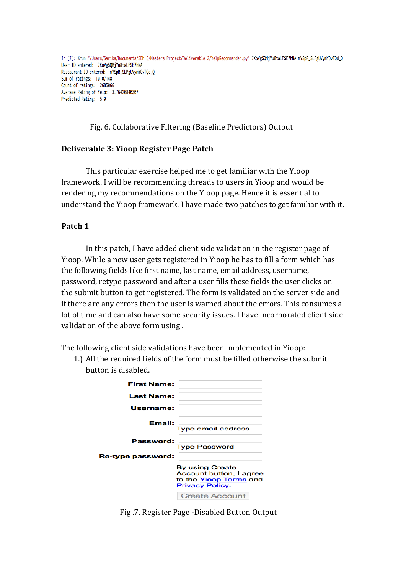In [7]: %run "/Users/Sarika/Documents/SEM 3/Masters Project/Deliverable 2/YelpRecommender.py" 7KoVg50MjYu8taLFSE7hNA mYSpR\_SLPgUVymYOvTOd\_O User ID entered: 7KoVg50MjYu8taLFSE7hNA Restaurant ID entered: mYSpR\_SLPgUVymYOvTQd\_Q Sum of ratings: 10107148 Count of ratings: 2685066 Average Rating of Yelp: 3.76420840307 Predicted Rating: 5.0

Fig. 6. Collaborative Filtering (Baseline Predictors) Output

### **Deliverable 3: Yioop Register Page Patch**

This particular exercise helped me to get familiar with the Yioop framework. I will be recommending threads to users in Yioop and would be rendering my recommendations on the Yioop page. Hence it is essential to understand the Yioop framework. I have made two patches to get familiar with it.

### **Patch 1**

In this patch, I have added client side validation in the register page of Yioop. While a new user gets registered in Yioop he has to fill a form which has the following fields like first name, last name, email address, username, password, retype password and after a user fills these fields the user clicks on the submit button to get registered. The form is validated on the server side and if there are any errors then the user is warned about the errors. This consumes a lot of time and can also have some security issues. I have incorporated client side validation of the above form using.

The following client side validations have been implemented in Yioop:

1.) All the required fields of the form must be filled otherwise the submit button is disabled.

| <b>First Name:</b> |                                                                                                       |
|--------------------|-------------------------------------------------------------------------------------------------------|
| <b>Last Name:</b>  |                                                                                                       |
| Username:          |                                                                                                       |
| Email:             | Type email address.                                                                                   |
| Password:          | <b>Type Password</b>                                                                                  |
| Re-type password:  |                                                                                                       |
|                    | <b>By using Create</b><br>Account button, I agree<br>to the Yioop Terms and<br><b>Privacy Policy.</b> |
|                    | <b>Create Account</b>                                                                                 |

Fig.7. Register Page -Disabled Button Output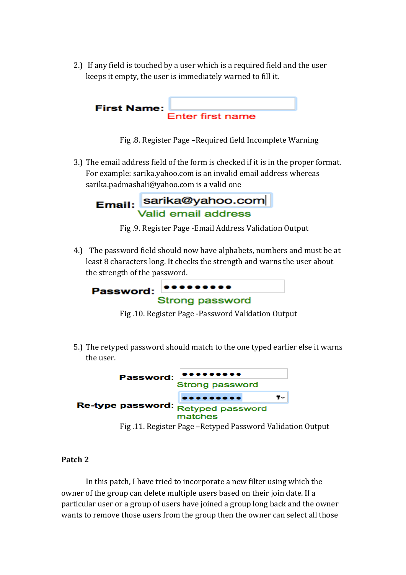2.) If any field is touched by a user which is a required field and the user keeps it empty, the user is immediately warned to fill it.



Fig.8. Register Page –Required field Incomplete Warning

3.) The email address field of the form is checked if it is in the proper format. For example: sarika.yahoo.com is an invalid email address whereas sarika.padmashali@yahoo.com is a valid one

Email: sarika@yahoo.com

Fig. 9. Register Page -Email Address Validation Output

4.) The password field should now have alphabets, numbers and must be at least 8 characters long. It checks the strength and warns the user about the strength of the password.



Fig.10. Register Page -Password Validation Output

5.) The retyped password should match to the one typed earlier else it warns the user.



Fig.11. Register Page – Retyped Password Validation Output

## **Patch 2**

In this patch, I have tried to incorporate a new filter using which the owner of the group can delete multiple users based on their join date. If a particular user or a group of users have joined a group long back and the owner wants to remove those users from the group then the owner can select all those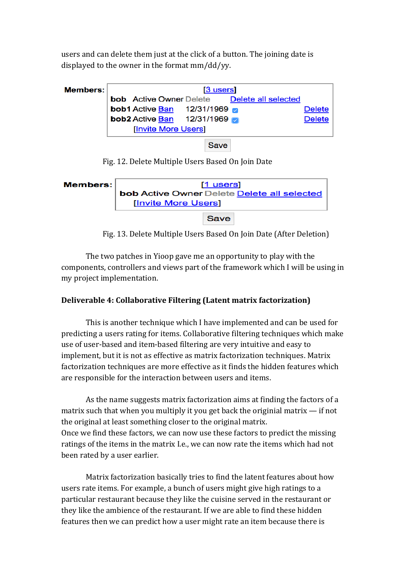users and can delete them just at the click of a button. The joining date is displayed to the owner in the format  $mm/dd/vv$ .



**Save** 

Fig. 12. Delete Multiple Users Based On Join Date



Fig. 13. Delete Multiple Users Based On Join Date (After Deletion)

The two patches in Yioop gave me an opportunity to play with the components, controllers and views part of the framework which I will be using in my project implementation.

## **Deliverable 4: Collaborative Filtering (Latent matrix factorization)**

This is another technique which I have implemented and can be used for predicting a users rating for items. Collaborative filtering techniques which make use of user-based and item-based filtering are very intuitive and easy to implement, but it is not as effective as matrix factorization techniques. Matrix factorization techniques are more effective as it finds the hidden features which are responsible for the interaction between users and items.

As the name suggests matrix factorization aims at finding the factors of a matrix such that when you multiply it you get back the originial matrix  $-$  if not the original at least something closer to the original matrix. Once we find these factors, we can now use these factors to predict the missing ratings of the items in the matrix I.e., we can now rate the items which had not been rated by a user earlier.

Matrix factorization basically tries to find the latent features about how users rate items. For example, a bunch of users might give high ratings to a particular restaurant because they like the cuisine served in the restaurant or they like the ambience of the restaurant. If we are able to find these hidden features then we can predict how a user might rate an item because there is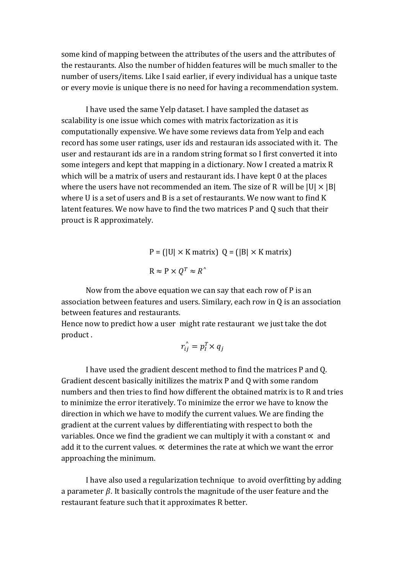some kind of mapping between the attributes of the users and the attributes of the restaurants. Also the number of hidden features will be much smaller to the number of users/items. Like I said earlier, if every individual has a unique taste or every movie is unique there is no need for having a recommendation system.

I have used the same Yelp dataset. I have sampled the dataset as scalability is one issue which comes with matrix factorization as it is computationally expensive. We have some reviews data from Yelp and each record has some user ratings, user ids and restauran ids associated with it. The user and restaurant ids are in a random string format so I first converted it into some integers and kept that mapping in a dictionary. Now I created a matrix R which will be a matrix of users and restaurant ids. I have kept 0 at the places where the users have not recommended an item. The size of R will be  $|U| \times |B|$ where  $U$  is a set of users and  $B$  is a set of restaurants. We now want to find  $K$ latent features. We now have to find the two matrices P and Q such that their prouct is R approximately.

> $P = (|U| \times K \text{ matrix}) Q = (|B| \times K \text{ matrix})$  $R \approx P \times Q^T \approx R^{\wedge}$

Now from the above equation we can say that each row of  $P$  is an association between features and users. Similary, each row in  $Q$  is an association between features and restaurants.

Hence now to predict how a user might rate restaurant we just take the dot product.

$$
r_{ij}^{\hat{}} = p_I^T \times q_j
$$

I have used the gradient descent method to find the matrices P and Q. Gradient descent basically initilizes the matrix P and O with some random numbers and then tries to find how different the obtained matrix is to R and tries to minimize the error iteratively. To minimize the error we have to know the direction in which we have to modify the current values. We are finding the gradient at the current values by differentiating with respect to both the variables. Once we find the gradient we can multiply it with a constant  $\propto$  and add it to the current values.  $\alpha$  determines the rate at which we want the error approaching the minimum.

I have also used a regularization technique to avoid overfitting by adding a parameter  $\beta$ . It basically controls the magnitude of the user feature and the restaurant feature such that it approximates R better.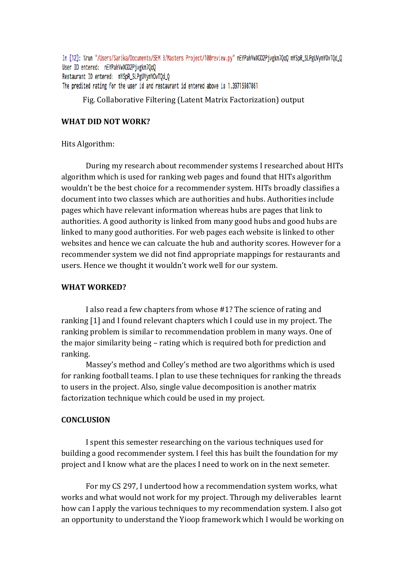In [12]: %run "/Users/Sarika/Documents/SEM 3/Masters Project/100review.py" nEYPahVwXGD2Pjvgkm7OqQ mYSpR\_SLPgUVymYOvTOd\_Q User ID entered: nEYPahVwXGD2Pjvgkm70q0 Restaurant ID entered: mYSpR\_SLPgUVymYOvTQd\_Q The predited rating for the user id and restaurant id entered above is 1.39715987861

Fig. Collaborative Filtering (Latent Matrix Factorization) output

### **WHAT DID NOT WORK?**

Hits Algorithm:

During my research about recommender systems I researched about HITs algorithm which is used for ranking web pages and found that HITs algorithm wouldn't be the best choice for a recommender system. HITs broadly classifies a document into two classes which are authorities and hubs. Authorities include pages which have relevant information whereas hubs are pages that link to authorities. A good authority is linked from many good hubs and good hubs are linked to many good authorities. For web pages each website is linked to other websites and hence we can calcuate the hub and authority scores. However for a recommender system we did not find appropriate mappings for restaurants and users. Hence we thought it wouldn't work well for our system.

#### **WHAT WORKED?**

I also read a few chapters from whose #1? The science of rating and ranking  $[1]$  and I found relevant chapters which I could use in my project. The ranking problem is similar to recommendation problem in many ways. One of the major similarity being – rating which is required both for prediction and ranking.

Massey's method and Colley's method are two algorithms which is used for ranking football teams. I plan to use these techniques for ranking the threads to users in the project. Also, single value decomposition is another matrix factorization technique which could be used in my project.

#### **CONCLUSION**

I spent this semester researching on the various techniques used for building a good recommender system. I feel this has built the foundation for my project and I know what are the places I need to work on in the next semeter.

For my CS 297, I undertood how a recommendation system works, what works and what would not work for my project. Through my deliverables learnt how can I apply the various techniques to my recommendation system. I also got an opportunity to understand the Yioop framework which I would be working on